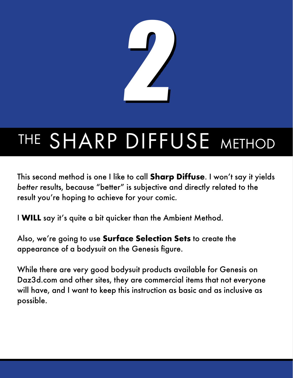

This second method is one I like to call **Sharp Diffuse**. I won't say it yields *better* results, because "better" is subjective and directly related to the result you're hoping to achieve for your comic.

I **WILL** say it's quite a bit quicker than the Ambient Method.

Also, we're going to use **Surface Selection Sets** to create the appearance of a bodysuit on the Genesis figure.

While there are very good bodysuit products available for Genesis on Daz3d.com and other sites, they are commercial items that not everyone will have, and I want to keep this instruction as basic and as inclusive as possible.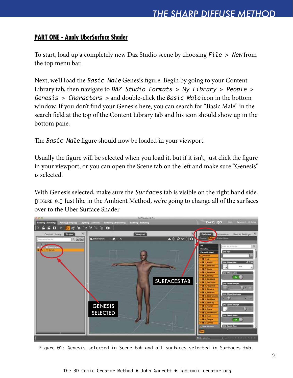#### **PART ONE - Apply UberSurface Shader**

To start, load up a completely new Daz Studio scene by choosing  $File > New from$ the top menu bar.

Next, we'll load the Basic Male Genesis figure. Begin by going to your Content Library tab, then navigate to DAZ Studio Formats  $>$  My Library  $>$  People  $>$ Genesis > Characters > and double-click the Basic Male icon in the bottom window. If you don't find your Genesis here, you can search for "Basic Male" in the search field at the top of the Content Library tab and his icon should show up in the bottom pane.

The Basic Male figure should now be loaded in your viewport.

Usually the figure will be selected when you load it, but if it isn't, just click the figure in your viewport, or you can open the Scene tab on the left and make sure "Genesis" is selected.

With Genesis selected, make sure the *Surfaces* tab is visible on the right hand side. [FIGURE 01] Just like in the Ambient Method, we're going to change all of the surfaces over to the Uber Surface Shader



Figure 01: Genesis selected in Scene tab and all surfaces selected in Surfaces tab.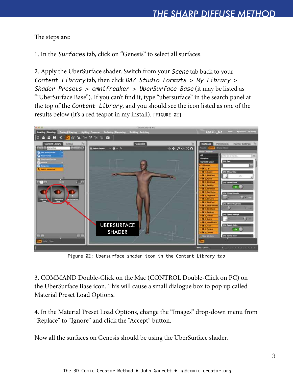The steps are:

1. In the Surfaces tab, click on "Genesis" to select all surfaces.

2. Apply the UberSurface shader. Switch from your Scene tab back to your Content Library tab, then click DAZ Studio Formats > My Library > Shader Presets > omnifreaker > UberSurface Base (it may be listed as "!UberSurface Base"). If you can't find it, type "ubersurface" in the search panel at the top of the Content Library, and you should see the icon listed as one of the results below (it's a red teapot in my install). [FIGURE 02]



Figure 02: Ubersurface shader icon in the Content Library tab

3. COMMAND Double-Click on the Mac (CONTROL Double-Click on PC) on the UberSurface Base icon. This will cause a small dialogue box to pop up called Material Preset Load Options.

4. In the Material Preset Load Options, change the "Images" drop-down menu from "Replace" to "Ignore" and click the "Accept" button.

Now all the surfaces on Genesis should be using the UberSurface shader.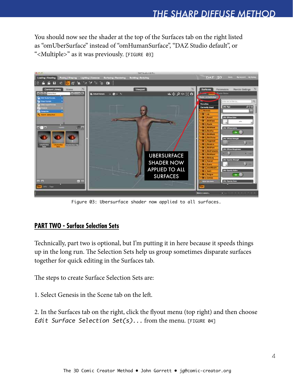You should now see the shader at the top of the Surfaces tab on the right listed as "omUberSurface" instead of "omHumanSurface", "DAZ Studio default", or "<Multiple>" as it was previously. [FIGURE 03]



Figure 03: Ubersurface shader now applied to all surfaces.

#### **PART TWO - Surface Selection Sets**

Technically, part two is optional, but I'm putting it in here because it speeds things up in the long run. The Selection Sets help us group sometimes disparate surfaces together for quick editing in the Surfaces tab.

The steps to create Surface Selection Sets are:

1. Select Genesis in the Scene tab on the left.

2. In the Surfaces tab on the right, click the flyout menu (top right) and then choose Edit Surface Selection Set(s)... from the menu. [FIGURE 04]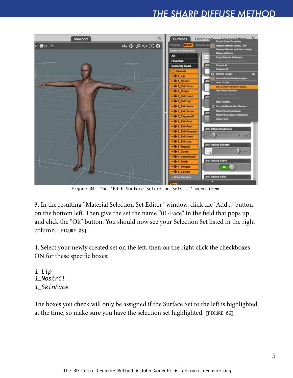

Figure 04: The 'Edit Surface Selection Sets...' menu item.

3. In the resulting "Material Selection Set Editor" window, click the "Add..." button on the bottom left. Then give the set the name "01-Face" in the field that pops up and click the "Ok" button. You should now see your Selection Set listed in the right column. [FIGURE 05]

4. Select your newly created set on the left, then on the right click the checkboxes ON for these specific boxes:

1\_Lip 1\_Nostril 1\_SkinFace

The boxes you check will only be assigned if the Surface Set to the left is highlighted at the time, so make sure you have the selection set highlighted. [FIGURE 06]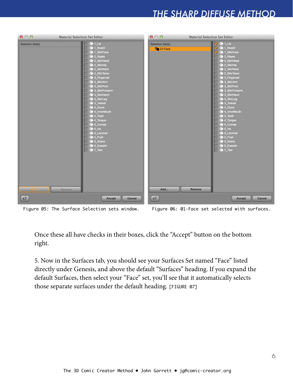| 000              | <b>Material Selection Set Editor</b>                                                                                                                                                                                                                                                                                                                                                                                                                                                      | 000                                          | Material Selection Set Editor                                                                                                                                                                                                                                                                                                                                                                                                                                                                              |
|------------------|-------------------------------------------------------------------------------------------------------------------------------------------------------------------------------------------------------------------------------------------------------------------------------------------------------------------------------------------------------------------------------------------------------------------------------------------------------------------------------------------|----------------------------------------------|------------------------------------------------------------------------------------------------------------------------------------------------------------------------------------------------------------------------------------------------------------------------------------------------------------------------------------------------------------------------------------------------------------------------------------------------------------------------------------------------------------|
| Selection Set(s) | $\bigoplus$ 1_Lip<br><b>Co</b> 1_Nostril<br><sup>1</sup> SkinFace<br><b>Co</b> 2 Nipple<br>2 SkinHead<br>4 2_SkinHip<br>4 2_SkinNeck<br>4 2_SkinTorso<br>3_Fingernall<br><b>4</b> 3_SkinArm<br>3 SkinFoot<br>4 3 SkinForearm<br>3_SkinHand<br>4 3_SkinLeg<br>3_Toenail<br>4 Gums<br>4_InnerMouth<br>$4$ Teeth<br>4_Tongue<br><b>S</b> Cornea<br>$\sqrt{9}$ 5_Iris<br><b>4</b> 5 Lacrimal<br><b>S_Pupil</b><br>$\overline{\text{4}}$ 5 Sciera<br>6 Eyelash<br>$\sqrt{2}$ 7_Tear<br>Romova) | Selection Set(s)<br><b>In</b> 01-Face<br>Add | $\frac{1}{2}$ $\frac{1}{2}$ $\frac{1}{2}$ $\frac{1}{2}$<br><b>4</b> 1_Nostril<br><b>Co</b> 1 SkinFace<br><b>Co</b> 2 Nipple<br>4 2 SkinHead<br>4 2_SkinHip<br>2_SkinNeck<br>2_SkinTorso<br>3_Fingernall<br><b>4</b> 3_SkinArm<br>3 SkinFoot<br>4 3 SkinForearm<br>3_SkinHand<br>4 3_SkinLeg<br>3_Toenail<br>4 Gums<br>4_InnerMouth<br>4 Teeth<br>4_Tongue<br><b>S_Comea</b><br>$\sqrt{6}$ 5_Iris<br><b>4</b> 5 Lacrimal<br><b>S</b> Pupil<br><b>4</b> 5_Sclera<br>6 Eyelash<br>$\sqrt{2}$ 7_Tear<br>Remove |
| $k$ ?            | Accept                                                                                                                                                                                                                                                                                                                                                                                                                                                                                    | $k$ ?<br>Cancel                              | Accept<br>Cancel                                                                                                                                                                                                                                                                                                                                                                                                                                                                                           |



Once these all have checks in their boxes, click the "Accept" button on the bottom right.

5. Now in the Surfaces tab, you should see your Surfaces Set named "Face" listed directly under Genesis, and above the default "Surfaces" heading. If you expand the default Surfaces, then select your "Face" set, you'll see that it automatically selects those separate surfaces under the default heading. [FIGURE 07]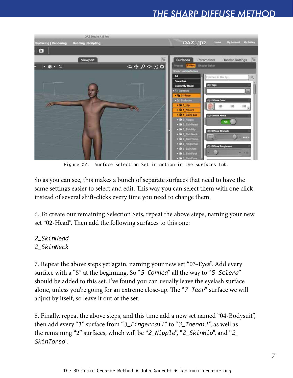

Figure 07: Surface Selection Set in action in the Surfaces tab.

So as you can see, this makes a bunch of separate surfaces that need to have the same settings easier to select and edit. This way you can select them with one click instead of several shift-clicks every time you need to change them.

6. To create our remaining Selection Sets, repeat the above steps, naming your new set "02-Head". Then add the following surfaces to this one:

#### 2\_SkinHead

#### 2\_SkinNeck

7. Repeat the above steps yet again, naming your new set "03-Eyes". Add every surface with a "5" at the beginning. So "5\_Cornea" all the way to "5\_Sclera" should be added to this set. I've found you can usually leave the eyelash surface alone, unless you're going for an extreme close-up. The "7\_Tear" surface we will adjust by itself, so leave it out of the set.

8. Finally, repeat the above steps, and this time add a new set named "04-Bodysuit", then add every "3" surface from "3\_Fingernail" to "3\_Toenail", as well as the remaining "2" surfaces, which will be "2\_Nipple", "2\_SkinHip", and "2\_ SkinTorso".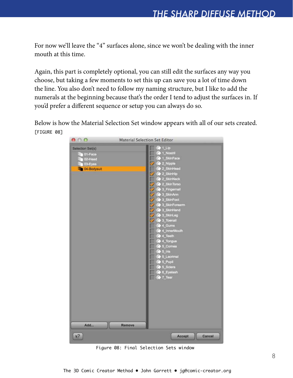For now we'll leave the "4" surfaces alone, since we won't be dealing with the inner mouth at this time.

Again, this part is completely optional, you can still edit the surfaces any way you choose, but taking a few moments to set this up can save you a lot of time down the line. You also don't need to follow my naming structure, but I like to add the numerals at the beginning because that's the order I tend to adjust the surfaces in. If you'd prefer a different sequence or setup you can always do so.

Below is how the Material Selection Set window appears with all of our sets created. [FIGURE 08]



Figure 08: Final Selection Sets window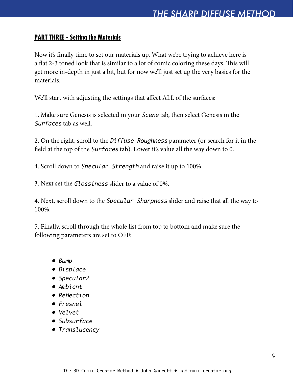#### **PART THREE - Setting the Materials**

Now it's finally time to set our materials up. What we're trying to achieve here is a flat 2-3 toned look that is similar to a lot of comic coloring these days. This will get more in-depth in just a bit, but for now we'll just set up the very basics for the materials.

We'll start with adjusting the settings that affect ALL of the surfaces:

1. Make sure Genesis is selected in your Scene tab, then select Genesis in the Surfaces tab as well.

2. On the right, scroll to the Diffuse Roughness parameter (or search for it in the field at the top of the Surfaces tab). Lower it's value all the way down to 0.

4. Scroll down to Specular Strength and raise it up to 100%

3. Next set the Glossiness slider to a value of 0%.

4. Next, scroll down to the Specular Sharpness slider and raise that all the way to 100%.

5. Finally, scroll through the whole list from top to bottom and make sure the following parameters are set to OFF:

- Bump
- Displace
- Specular2
- Ambient
- Reflection
- Fresnel
- Velvet
- Subsurface
- Translucency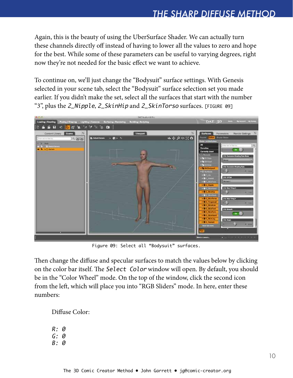Again, this is the beauty of using the UberSurface Shader. We can actually turn these channels directly off instead of having to lower all the values to zero and hope for the best. While some of these parameters can be useful to varying degrees, right now they're not needed for the basic effect we want to achieve.

To continue on, we'll just change the "Bodysuit" surface settings. With Genesis selected in your scene tab, select the "Bodysuit" surface selection set you made earlier. If you didn't make the set, select all the surfaces that start with the number "3", plus the 2\_Nipple, 2\_SkinHip and 2\_SkinTorso surfaces. [FIGURE 09]



Figure 09: Select all "Bodysuit" surfaces.

Then change the diffuse and specular surfaces to match the values below by clicking on the color bar itself. The Select Color window will open. By default, you should be in the "Color Wheel" mode. On the top of the window, click the second icon from the left, which will place you into "RGB Sliders" mode. In here, enter these numbers:

Diffuse Color:

- R: 0 G: 0
- B: 0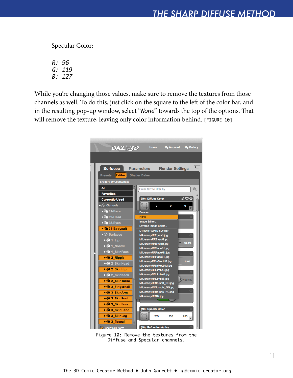Specular Color:

R: 96 G: 119 B: 127

While you're changing those values, make sure to remove the textures from those channels as well. To do this, just click on the square to the left of the color bar, and in the resulting pop-up window, select "None" towards the top of the options. That will remove the texture, leaving only color information behind. [FIGURE 10]



Figure 10: Remove the textures from the Diffuse and Specular channels.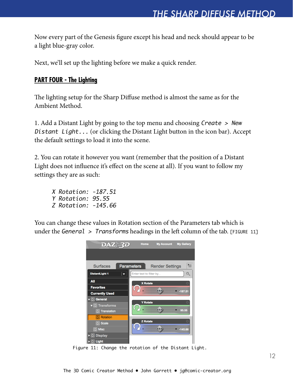Now every part of the Genesis figure except his head and neck should appear to be a light blue-gray color.

Next, we'll set up the lighting before we make a quick render.

#### **PART FOUR - The Lighting**

The lighting setup for the Sharp Diffuse method is almost the same as for the Ambient Method.

1. Add a Distant Light by going to the top menu and choosing Create > New Distant Light... (or clicking the Distant Light button in the icon bar). Accept the default settings to load it into the scene.

2. You can rotate it however you want (remember that the position of a Distant Light does not influence it's effect on the scene at all). If you want to follow my settings they are as such:

X Rotation: -187.51 Y Rotation: 95.55 Z Rotation: -145.66

You can change these values in Rotation section of the Parameters tab which is under the General  $\geq$  Transforms headings in the left column of the tab. [FIGURE 11]



Figure 11: Change the rotation of the Distant Light.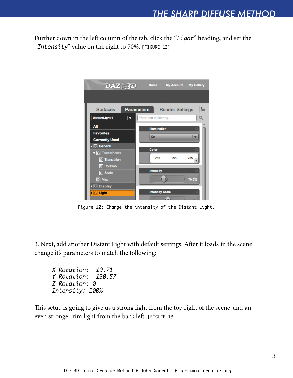Further down in the left column of the tab, click the "Light" heading, and set the "Intensity" value on the right to 70%. [FIGURE 12]



Figure 12: Change the intensity of the Distant Light.

3. Next, add another Distant Light with default settings. After it loads in the scene change it's parameters to match the following:

X Rotation: -19.71 Y Rotation: -130.57 Z Rotation: 0 Intensity: 200%

This setup is going to give us a strong light from the top right of the scene, and an even stronger rim light from the back left. [FIGURE 13]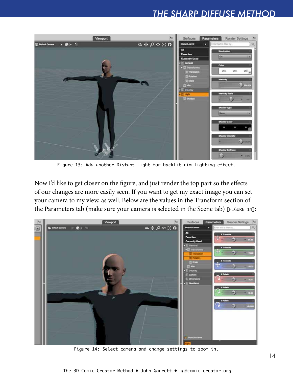

Figure 13: Add another Distant Light for backlit rim lighting effect.

Now I'd like to get closer on the figure, and just render the top part so the effects of our changes are more easily seen. If you want to get my exact image you can set your camera to my view, as well. Below are the values in the Transform section of the Parameters tab (make sure your camera is selected in the Scene tab) [FIGURE 14]:



Figure 14: Select camera and change settings to zoom in.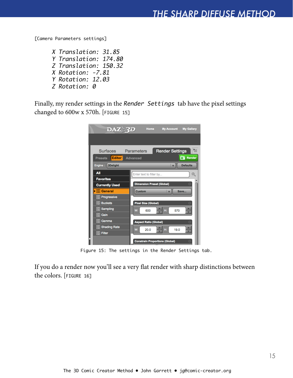[Camera Parameters settings]

X Translation: 31.85 Y Translation: 174.80 Z Translation: 150.32 X Rotation: -7.81 Y Rotation: 12.03 Z Rotation: 0

Finally, my render settings in the Render Settings tab have the pixel settings changed to 600w x 570h. [FIGURE 15]

| $\overline{\text{DAZ}}$ 3D<br>Home<br><b>My Account</b><br><b>My Gallery</b> |
|------------------------------------------------------------------------------|
|                                                                              |
| ⋐<br><b>Surfaces</b><br><b>Parameters</b><br><b>Render Settings</b>          |
| <b>C</b> Render<br>Editor<br><b>Advanced</b><br><b>Presets</b>               |
| <b>Defaults</b><br>Engine:<br><b>3Delight</b>                                |
| All<br>Enter text to filter by                                               |
| <b>Favorites</b>                                                             |
| <b>Dimension Preset (Global)</b><br><b>Currently Used</b>                    |
| $\triangleright$ <b>G</b> General<br><b>Custom</b><br>Save                   |
| <b>G</b> Progressive                                                         |
| <b>G</b> Buckets<br><b>Pixel Size (Global)</b>                               |
| <b>G</b> Sampling<br>H.<br>W:<br>600<br>570                                  |
| <b>G</b> Gain                                                                |
| <b>G</b> Gamma<br><b>Aspect Ratio (Global)</b>                               |
| <b>C</b> Shading Rate<br>W:<br>20.0<br>H:<br>19.0                            |
| <b>G</b> Filter                                                              |
| <b>Constrain Proportions (Global)</b>                                        |

Figure 15: The settings in the Render Settings tab.

If you do a render now you'll see a very flat render with sharp distinctions between the colors. [FIGURE 16]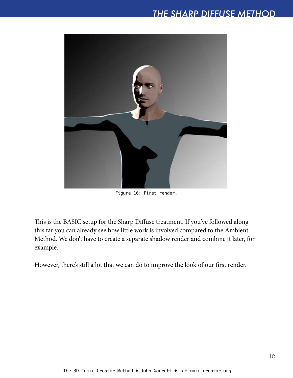

Figure 16: First render.

This is the BASIC setup for the Sharp Diffuse treatment. If you've followed along this far you can already see how little work is involved compared to the Ambient Method. We don't have to create a separate shadow render and combine it later, for example.

However, there's still a lot that we can do to improve the look of our first render.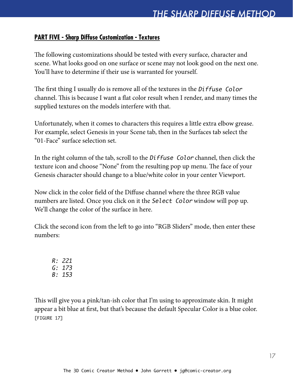#### **PART FIVE - Sharp Diffuse Customization - Textures**

The following customizations should be tested with every surface, character and scene. What looks good on one surface or scene may not look good on the next one. You'll have to determine if their use is warranted for yourself.

The first thing I usually do is remove all of the textures in the Diffuse Color channel. This is because I want a flat color result when I render, and many times the supplied textures on the models interfere with that.

Unfortunately, when it comes to characters this requires a little extra elbow grease. For example, select Genesis in your Scene tab, then in the Surfaces tab select the "01-Face" surface selection set.

In the right column of the tab, scroll to the Diffuse Color channel, then click the texture icon and choose "None" from the resulting pop up menu. The face of your Genesis character should change to a blue/white color in your center Viewport.

Now click in the color field of the Diffuse channel where the three RGB value numbers are listed. Once you click on it the Select Color window will pop up. We'll change the color of the surface in here.

Click the second icon from the left to go into "RGB Sliders" mode, then enter these numbers:

R: 221 G: 173 B: 153

This will give you a pink/tan-ish color that I'm using to approximate skin. It might appear a bit blue at first, but that's because the default Specular Color is a blue color. [FIGURE 17]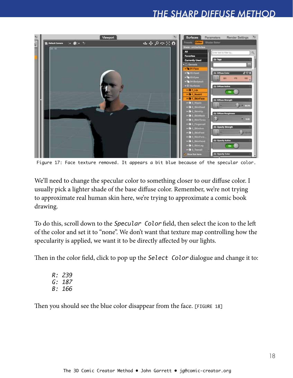

Figure 17: Face texture removed. It appears a bit blue because of the specular color.

We'll need to change the specular color to something closer to our diffuse color. I usually pick a lighter shade of the base diffuse color. Remember, we're not trying to approximate real human skin here, we're trying to approximate a comic book drawing.

To do this, scroll down to the Specular Color field, then select the icon to the left of the color and set it to "none". We don't want that texture map controlling how the specularity is applied, we want it to be directly affected by our lights.

Then in the color field, click to pop up the Select Color dialogue and change it to:

R: 239 G: 187 B: 166

Then you should see the blue color disappear from the face. [FIGURE 18]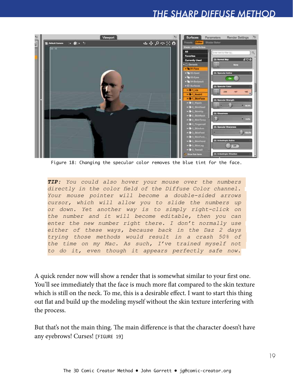

Figure 18: Changing the specular color removes the blue tint for the face.

*TIP: You could also hover your mouse over the numbers directly in the color field of the Diffuse Color channel. Your mouse pointer will become a double-sided arrows cursor, which will allow you to slide the numbers up or down. Yet another way is to simply right-click on the number and it will become editable, then you can enter the new number right there. I don't normally use either of these ways, because back in the Daz 2 days trying those methods would result in a crash 50% of the time on my Mac. As such, I've trained myself not to do it, even though it appears perfectly safe now.*

A quick render now will show a render that is somewhat similar to your first one. You'll see immediately that the face is much more flat compared to the skin texture which is still on the neck. To me, this is a desirable effect. I want to start this thing out flat and build up the modeling myself without the skin texture interfering with the process.

But that's not the main thing. The main difference is that the character doesn't have any eyebrows! Curses! [FIGURE 19]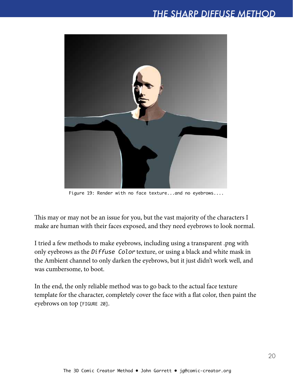

Figure 19: Render with no face texture...and no eyebrows....

This may or may not be an issue for you, but the vast majority of the characters I make are human with their faces exposed, and they need eyebrows to look normal.

I tried a few methods to make eyebrows, including using a transparent .png with only eyebrows as the Diffuse Color texture, or using a black and white mask in the Ambient channel to only darken the eyebrows, but it just didn't work well, and was cumbersome, to boot.

In the end, the only reliable method was to go back to the actual face texture template for the character, completely cover the face with a flat color, then paint the eyebrows on top [FIGURE 20].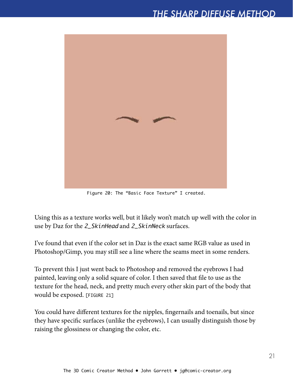

Figure 20: The "Basic Face Texture" I created.

Using this as a texture works well, but it likely won't match up well with the color in use by Daz for the 2\_SkinHead and 2\_SkinNeck surfaces.

I've found that even if the color set in Daz is the exact same RGB value as used in Photoshop/Gimp, you may still see a line where the seams meet in some renders.

To prevent this I just went back to Photoshop and removed the eyebrows I had painted, leaving only a solid square of color. I then saved that file to use as the texture for the head, neck, and pretty much every other skin part of the body that would be exposed. [figure 21]

You could have different textures for the nipples, fingernails and toenails, but since they have specific surfaces (unlike the eyebrows), I can usually distinguish those by raising the glossiness or changing the color, etc.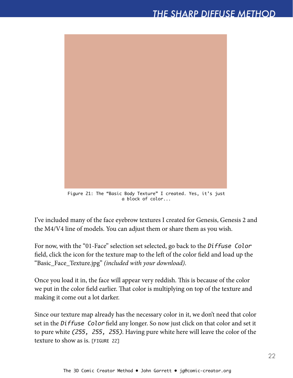

Figure 21: The "Basic Body Texture" I created. Yes, it's just a block of color...

I've included many of the face eyebrow textures I created for Genesis, Genesis 2 and the M4/V4 line of models. You can adjust them or share them as you wish.

For now, with the "01-Face" selection set selected, go back to the Diffuse Color field, click the icon for the texture map to the left of the color field and load up the "Basic\_Face\_Texture.jpg" *(included with your download)*.

Once you load it in, the face will appear very reddish. This is because of the color we put in the color field earlier. That color is multiplying on top of the texture and making it come out a lot darker.

Since our texture map already has the necessary color in it, we don't need that color set in the Diffuse Color field any longer. So now just click on that color and set it to pure white (255, 255, 255). Having pure white here will leave the color of the texture to show as is. [figure 22]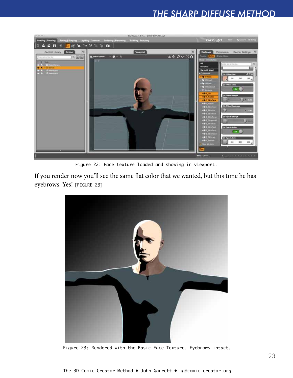

Figure 22: Face texture loaded and showing in viewport.

If you render now you'll see the same flat color that we wanted, but this time he has eyebrows. Yes! [figure 23]



Figure 23: Rendered with the Basic Face Texture. Eyebrows intact.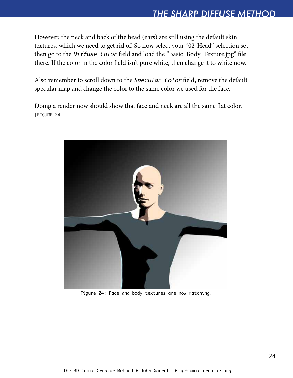However, the neck and back of the head (ears) are still using the default skin textures, which we need to get rid of. So now select your "02-Head" selection set, then go to the Diffuse Color field and load the "Basic\_Body\_Texture.jpg" file there. If the color in the color field isn't pure white, then change it to white now.

Also remember to scroll down to the Specular Color field, remove the default specular map and change the color to the same color we used for the face.

Doing a render now should show that face and neck are all the same flat color. [figure 24]



Figure 24: Face and body textures are now matching.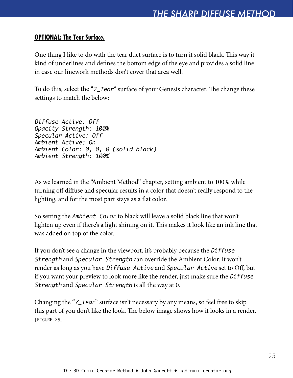#### **OPTIONAL: The Tear Surface.**

One thing I like to do with the tear duct surface is to turn it solid black. This way it kind of underlines and defines the bottom edge of the eye and provides a solid line in case our linework methods don't cover that area well.

To do this, select the "7\_Tear" surface of your Genesis character. The change these settings to match the below:

Diffuse Active: Off Opacity Strength: 100% Specular Active: Off Ambient Active: On Ambient Color: 0, 0, 0 (solid black) Ambient Strength: 100%

As we learned in the "Ambient Method" chapter, setting ambient to 100% while turning off diffuse and specular results in a color that doesn't really respond to the lighting, and for the most part stays as a flat color.

So setting the Ambient Color to black will leave a solid black line that won't lighten up even if there's a light shining on it. This makes it look like an ink line that was added on top of the color.

If you don't see a change in the viewport, it's probably because the Diffuse Strength and Specular Strength can override the Ambient Color. It won't render as long as you have Diffuse Active and Specular Active set to Off, but if you want your preview to look more like the render, just make sure the Diffuse Strength and Specular Strength is all the way at 0.

Changing the "7\_Tear" surface isn't necessary by any means, so feel free to skip this part of you don't like the look. The below image shows how it looks in a render. [figure 25]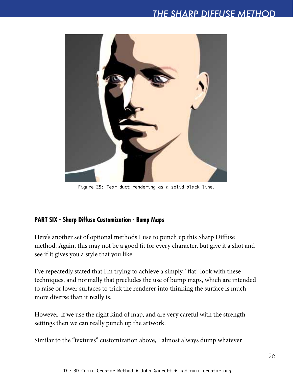

Figure 25: Tear duct rendering as a solid black line.

#### **PART SIX - Sharp Diffuse Customization - Bump Maps**

Here's another set of optional methods I use to punch up this Sharp Diffuse method. Again, this may not be a good fit for every character, but give it a shot and see if it gives you a style that you like.

I've repeatedly stated that I'm trying to achieve a simply, "flat" look with these techniques, and normally that precludes the use of bump maps, which are intended to raise or lower surfaces to trick the renderer into thinking the surface is much more diverse than it really is.

However, if we use the right kind of map, and are very careful with the strength settings then we can really punch up the artwork.

Similar to the "textures" customization above, I almost always dump whatever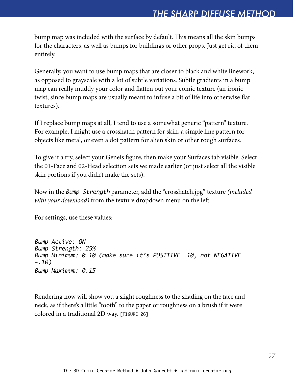bump map was included with the surface by default. This means all the skin bumps for the characters, as well as bumps for buildings or other props. Just get rid of them entirely.

Generally, you want to use bump maps that are closer to black and white linework, as opposed to grayscale with a lot of subtle variations. Subtle gradients in a bump map can really muddy your color and flatten out your comic texture (an ironic twist, since bump maps are usually meant to infuse a bit of life into otherwise flat textures).

If I replace bump maps at all, I tend to use a somewhat generic "pattern" texture. For example, I might use a crosshatch pattern for skin, a simple line pattern for objects like metal, or even a dot pattern for alien skin or other rough surfaces.

To give it a try, select your Geneis figure, then make your Surfaces tab visible. Select the 01-Face and 02-Head selection sets we made earlier (or just select all the visible skin portions if you didn't make the sets).

Now in the Bump Strength parameter, add the "crosshatch.jpg" texture *(included with your download)* from the texture dropdown menu on the left.

For settings, use these values:

Bump Active: ON Bump Strength: 25% Bump Minimum: 0.10 (make sure it's POSITIVE .10, not NEGATIVE -.10) Bump Maximum: 0.15

Rendering now will show you a slight roughness to the shading on the face and neck, as if there's a little "tooth" to the paper or roughness on a brush if it were colored in a traditional 2D way. [figure 26]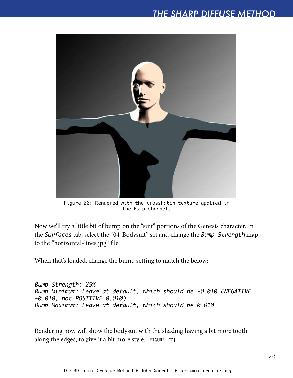

Figure 26: Rendered with the crosshatch texture applied in the Bump Channel.

Now we'll try a little bit of bump on the "suit" portions of the Genesis character. In the Surfaces tab, select the "04-Bodysuit" set and change the Bump Strength map to the "horizontal-lines.jpg" file.

When that's loaded, change the bump setting to match the below:

Bump Strength: 25% Bump Minimum: Leave at default, which should be -0.010 (NEGATIVE -0.010, not POSITIVE 0.010) Bump Maximum: Leave at default, which should be 0.010

Rendering now will show the bodysuit with the shading having a bit more tooth along the edges, to give it a bit more style. [FIGURE 27]